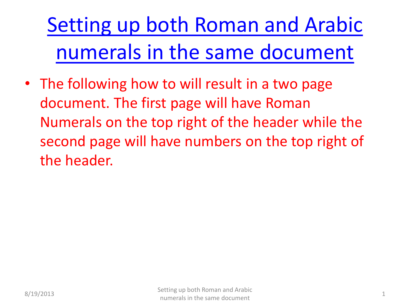[Setting up both Roman and Arabic](#page-2-0)  [numerals in the same document](#page-2-0)

• The following how to will result in a two page document. The first page will have Roman Numerals on the top right of the header while the second page will have numbers on the top right of the header.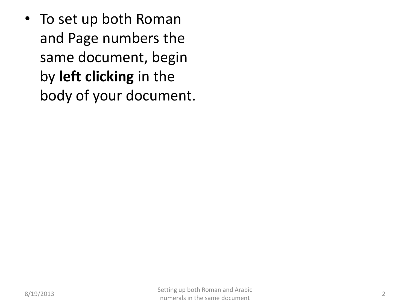• To set up both Roman and Page numbers the same document, begin by **left clicking** in the body of your document.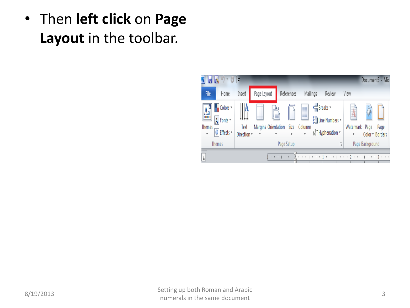<span id="page-2-0"></span>• Then **left click** on **Page Layout** in the toolbar.

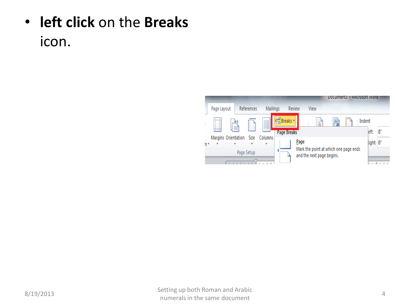## • **left click** on the **Breaks** icon.

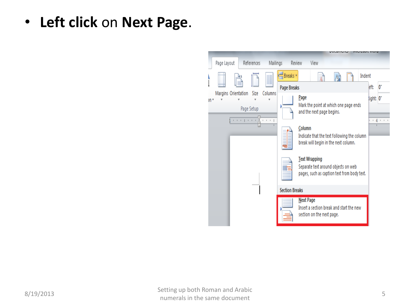• **Left click** on **Next Page**.

|      | Page Layout         |                   | References | Mailings     | Review                | View                                                                                                       |                                |
|------|---------------------|-------------------|------------|--------------|-----------------------|------------------------------------------------------------------------------------------------------------|--------------------------------|
|      |                     |                   |            |              | Breaks *              | Indent                                                                                                     |                                |
|      |                     |                   |            |              | Page Breaks           | eft:                                                                                                       | 0.                             |
| × n( | Margins Orientation |                   | Size       | Columns      |                       | Page<br>light:                                                                                             | 0.                             |
|      |                     |                   | Page Setup |              |                       | Mark the point at which one page ends<br>and the next page begins.                                         |                                |
|      |                     | <b>CONTRACTOR</b> |            | $\mathbf{1}$ |                       |                                                                                                            | 4<br>$\mathbf{I}=\mathbf{I}$ . |
|      |                     |                   |            |              |                       | Column<br>Indicate that the text following the column<br>break will begin in the next column.              |                                |
|      |                     |                   |            |              |                       | <b>Text Wrapping</b><br>Separate text around objects on web<br>pages, such as caption text from body text. |                                |
|      |                     |                   |            |              | <b>Section Breaks</b> |                                                                                                            |                                |
|      |                     |                   |            |              |                       | <b>Next Page</b><br>Insert a section break and start the new<br>section on the next page.                  |                                |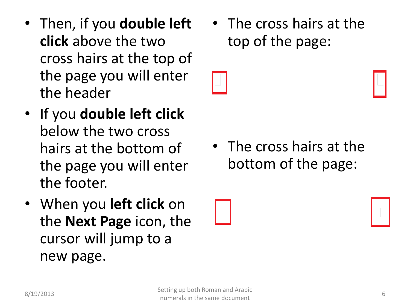- Then, if you **double left click** above the two cross hairs at the top of the page you will enter the header
- If you **double left click**  below the two cross hairs at the bottom of the page you will enter the footer.
- When you **left click** on the **Next Page** icon, the cursor will jump to a new page.

• The cross hairs at the top of the page:

• The cross hairs at the bottom of the page: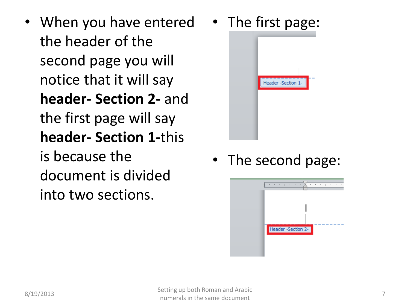- When you have entered the header of the second page you will notice that it will say **header- Section 2-** and the first page will say **header- Section 1-**this is because the document is divided into two sections.
- The first page:



• The second page:

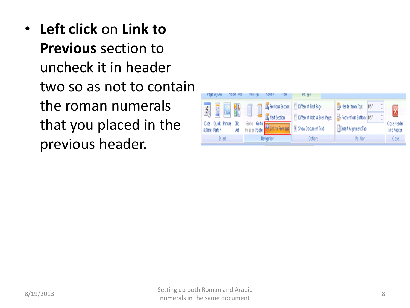• **Left click** on **Link to Previous** section to uncheck it in header two so as not to contain the roman numerals that you placed in the previous header.

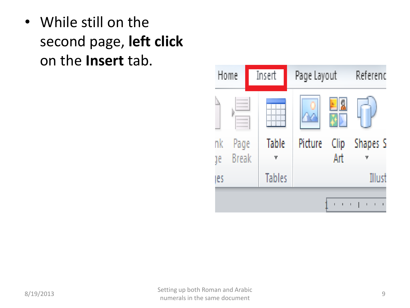• While still on the second page, **left click**  on the **Insert** tab.

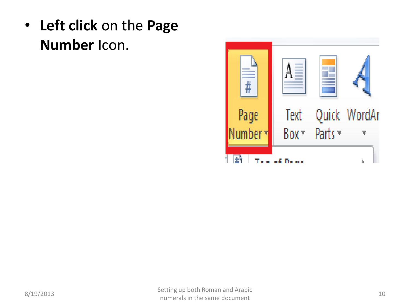• **Left click** on the **Page Number** Icon.

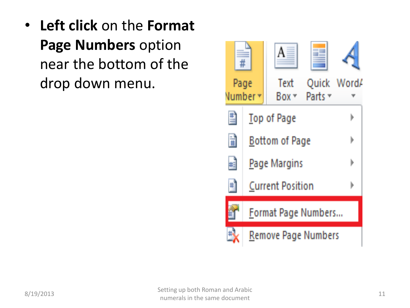• **Left click** on the **Format Page Numbers** option near the bottom of the drop down menu.

| Page<br>Number * |                            | Text<br>Box =      | Parts <b>T</b> | Quick Word/ |
|------------------|----------------------------|--------------------|----------------|-------------|
|                  |                            | <b>Top of Page</b> |                |             |
| Ħ                | <b>Bottom of Page</b>      |                    |                |             |
| 넕                | <b>Page Margins</b>        |                    |                |             |
|                  | <b>Current Position</b>    |                    |                |             |
|                  | Format Page Numbers        |                    |                |             |
|                  | <b>Remove Page Numbers</b> |                    |                |             |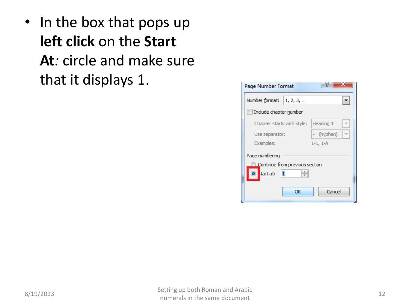• In the box that pops up **left click** on the **Start At***:* circle and make sure that it displays 1.

| ж<br>Page Number Format                 |
|-----------------------------------------|
| Number format: 1, 2, 3,                 |
| Include chapter number                  |
| Heading 1<br>Chapter starts with style: |
| - (hyphen)<br>Use separator:            |
| Examples:<br>$1-1, 1-A$                 |
| Page numbering                          |
| Continue from previous section          |
| tart at:                                |
| Cancel<br>OK                            |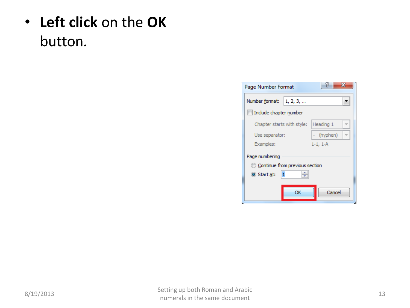## • **Left click** on the **OK** button*.*

| Page Number Format     |                                | ዬ<br>73    |
|------------------------|--------------------------------|------------|
| Number format:         | 1, 2, 3,                       |            |
| Include chapter number |                                |            |
|                        | Chapter starts with style:     | Heading 1  |
| Use separator:         |                                | - (hyphen) |
| Examples:              |                                | 1-1, 1-A   |
| Page numbering         |                                |            |
|                        | Continue from previous section |            |
| ◉ Start at:            |                                |            |
|                        |                                |            |
|                        | ΩK                             | Cancel     |
|                        |                                |            |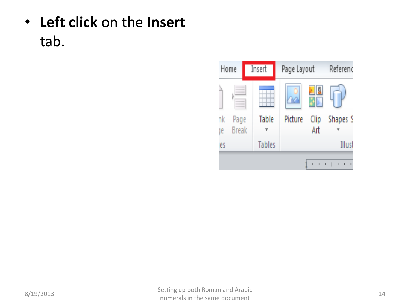## • **Left click** on the **Insert** tab.

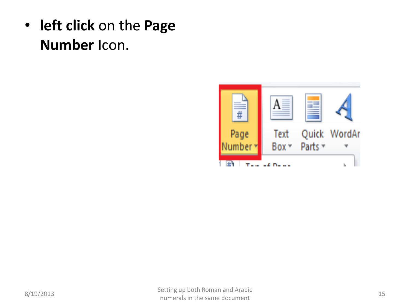• **left click** on the **Page Number** Icon.

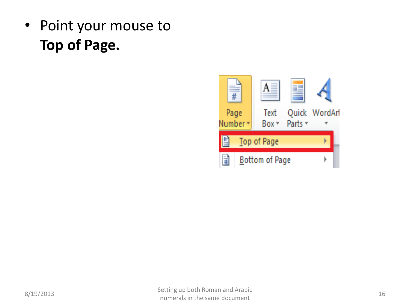• Point your mouse to **Top of Page.**

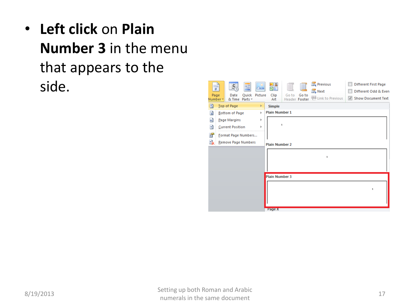• **Left click** on **Plain Number 3** in the menu that appears to the side.

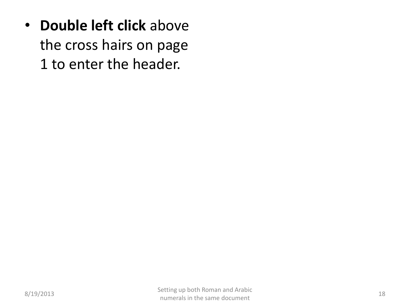• **Double left click** above the cross hairs on page 1 to enter the header.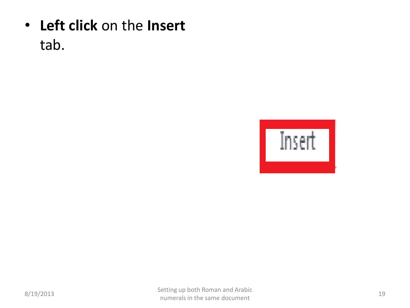• **Left click** on the **Insert** tab.

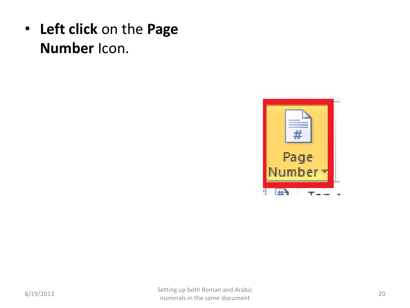• **Left click** on the **Page Number** Icon.

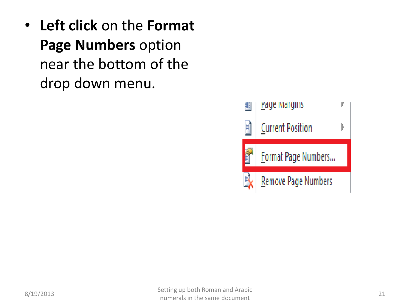• **Left click** on the **Format Page Numbers** option near the bottom of the drop down menu.

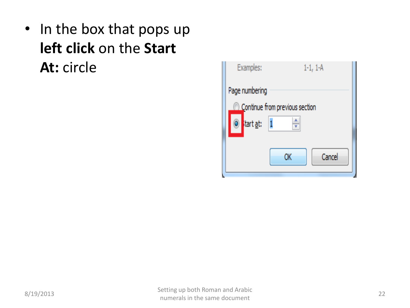• In the box that pops up **left click** on the **Start At:** circle

| Examples:<br>$1-1, 1-A$        |
|--------------------------------|
| Page numbering                 |
| Continue from previous section |
| itart at:<br>Тņ.               |
|                                |
| Cancel<br>0K                   |
|                                |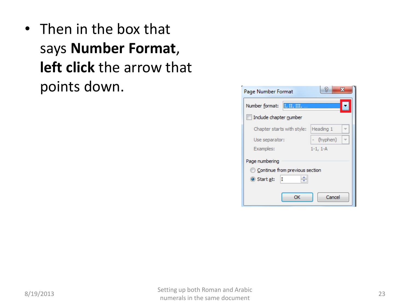• Then in the box that says **Number Format**, **left click** the arrow that points down.

| Page Number Format                               | P<br>х     |  |  |
|--------------------------------------------------|------------|--|--|
| $\overline{\text{I, II, III}}$<br>Number format: |            |  |  |
| Include chapter number                           |            |  |  |
| Chapter starts with style:                       | Heading 1  |  |  |
| Use separator:                                   | - (hyphen) |  |  |
| Examples:                                        | $1-1, 1-A$ |  |  |
| Page numbering                                   |            |  |  |
| Continue from previous section                   |            |  |  |
| ◉ Start <u>a</u> t:<br>I                         |            |  |  |
| ОК                                               | Cancel     |  |  |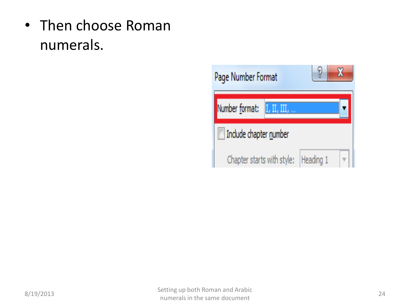• Then choose Roman numerals.

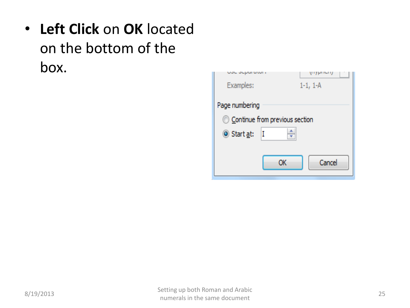• **Left Click** on **OK** located on the bottom of the box.

| الماضا ماضا مناصلا<br>Examples: | uw n<br>унуртың<br>$1-1, 1-A$ |  |  |  |
|---------------------------------|-------------------------------|--|--|--|
| Page numbering                  |                               |  |  |  |
| Continue from previous section  |                               |  |  |  |
| Start at:                       |                               |  |  |  |
|                                 | Cancel<br>OK                  |  |  |  |